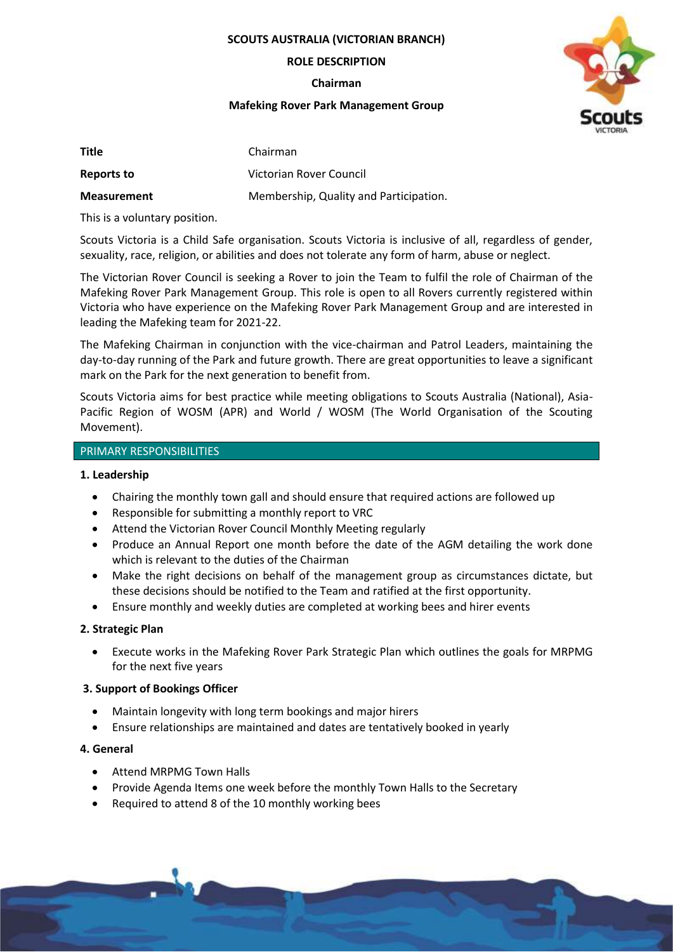**SCOUTS AUSTRALIA (VICTORIAN BRANCH)**

#### **ROLE DESCRIPTION**

**Chairman**

### **Mafeking Rover Park Management Group**



| Title              | Chairman                               |
|--------------------|----------------------------------------|
| Reports to         | Victorian Rover Council                |
| <b>Measurement</b> | Membership, Quality and Participation. |

This is a voluntary position.

Scouts Victoria is a Child Safe organisation. Scouts Victoria is inclusive of all, regardless of gender, sexuality, race, religion, or abilities and does not tolerate any form of harm, abuse or neglect.

The Victorian Rover Council is seeking a Rover to join the Team to fulfil the role of Chairman of the Mafeking Rover Park Management Group. This role is open to all Rovers currently registered within Victoria who have experience on the Mafeking Rover Park Management Group and are interested in leading the Mafeking team for 2021-22.

The Mafeking Chairman in conjunction with the vice-chairman and Patrol Leaders, maintaining the day-to-day running of the Park and future growth. There are great opportunities to leave a significant mark on the Park for the next generation to benefit from.

Scouts Victoria aims for best practice while meeting obligations to Scouts Australia (National), Asia-Pacific Region of WOSM (APR) and World / WOSM (The World Organisation of the Scouting Movement).

# PRIMARY RESPONSIBILITIES

# **1. Leadership**

- Chairing the monthly town gall and should ensure that required actions are followed up
- Responsible for submitting a monthly report to VRC
- Attend the Victorian Rover Council Monthly Meeting regularly
- Produce an Annual Report one month before the date of the AGM detailing the work done which is relevant to the duties of the Chairman
- Make the right decisions on behalf of the management group as circumstances dictate, but these decisions should be notified to the Team and ratified at the first opportunity.
- Ensure monthly and weekly duties are completed at working bees and hirer events

# **2. Strategic Plan**

• Execute works in the Mafeking Rover Park Strategic Plan which outlines the goals for MRPMG for the next five years

# **3. Support of Bookings Officer**

- Maintain longevity with long term bookings and major hirers
- Ensure relationships are maintained and dates are tentatively booked in yearly

# **4. General**

- Attend MRPMG Town Halls
- Provide Agenda Items one week before the monthly Town Halls to the Secretary
- Required to attend 8 of the 10 monthly working bees